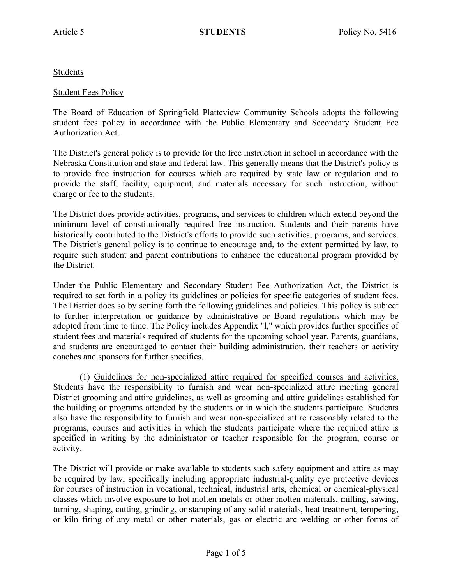Students

## Student Fees Policy

The Board of Education of Springfield Platteview Community Schools adopts the following student fees policy in accordance with the Public Elementary and Secondary Student Fee Authorization Act.

The District's general policy is to provide for the free instruction in school in accordance with the Nebraska Constitution and state and federal law. This generally means that the District's policy is to provide free instruction for courses which are required by state law or regulation and to provide the staff, facility, equipment, and materials necessary for such instruction, without charge or fee to the students.

The District does provide activities, programs, and services to children which extend beyond the minimum level of constitutionally required free instruction. Students and their parents have historically contributed to the District's efforts to provide such activities, programs, and services. The District's general policy is to continue to encourage and, to the extent permitted by law, to require such student and parent contributions to enhance the educational program provided by the District.

Under the Public Elementary and Secondary Student Fee Authorization Act, the District is required to set forth in a policy its guidelines or policies for specific categories of student fees. The District does so by setting forth the following guidelines and policies. This policy is subject to further interpretation or guidance by administrative or Board regulations which may be adopted from time to time. The Policy includes Appendix "l," which provides further specifics of student fees and materials required of students for the upcoming school year. Parents, guardians, and students are encouraged to contact their building administration, their teachers or activity coaches and sponsors for further specifics.

(1) Guidelines for non-specialized attire required for specified courses and activities. Students have the responsibility to furnish and wear non-specialized attire meeting general District grooming and attire guidelines, as well as grooming and attire guidelines established for the building or programs attended by the students or in which the students participate. Students also have the responsibility to furnish and wear non-specialized attire reasonably related to the programs, courses and activities in which the students participate where the required attire is specified in writing by the administrator or teacher responsible for the program, course or activity.

The District will provide or make available to students such safety equipment and attire as may be required by law, specifically including appropriate industrial-quality eye protective devices for courses of instruction in vocational, technical, industrial arts, chemical or chemical-physical classes which involve exposure to hot molten metals or other molten materials, milling, sawing, turning, shaping, cutting, grinding, or stamping of any solid materials, heat treatment, tempering, or kiln firing of any metal or other materials, gas or electric arc welding or other forms of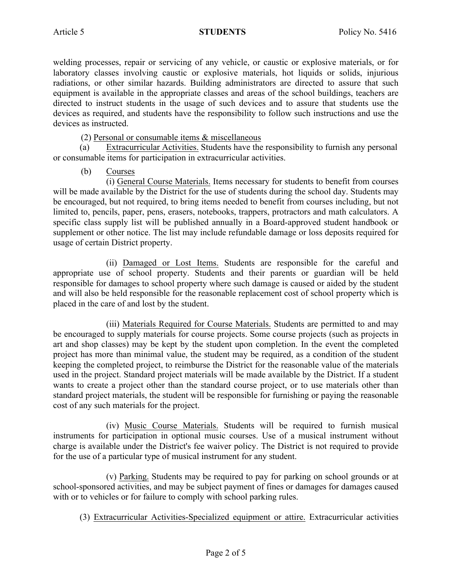welding processes, repair or servicing of any vehicle, or caustic or explosive materials, or for laboratory classes involving caustic or explosive materials, hot liquids or solids, injurious radiations, or other similar hazards. Building administrators are directed to assure that such equipment is available in the appropriate classes and areas of the school buildings, teachers are directed to instruct students in the usage of such devices and to assure that students use the devices as required, and students have the responsibility to follow such instructions and use the devices as instructed.

(2) Personal or consumable items & miscellaneous

(a) Extracurricular Activities. Students have the responsibility to furnish any personal or consumable items for participation in extracurricular activities.

# (b) Courses

(i) General Course Materials. Items necessary for students to benefit from courses will be made available by the District for the use of students during the school day. Students may be encouraged, but not required, to bring items needed to benefit from courses including, but not limited to, pencils, paper, pens, erasers, notebooks, trappers, protractors and math calculators. A specific class supply list will be published annually in a Board-approved student handbook or supplement or other notice. The list may include refundable damage or loss deposits required for usage of certain District property.

(ii) Damaged or Lost Items. Students are responsible for the careful and appropriate use of school property. Students and their parents or guardian will be held responsible for damages to school property where such damage is caused or aided by the student and will also be held responsible for the reasonable replacement cost of school property which is placed in the care of and lost by the student.

(iii) Materials Required for Course Materials. Students are permitted to and may be encouraged to supply materials for course projects. Some course projects (such as projects in art and shop classes) may be kept by the student upon completion. In the event the completed project has more than minimal value, the student may be required, as a condition of the student keeping the completed project, to reimburse the District for the reasonable value of the materials used in the project. Standard project materials will be made available by the District. If a student wants to create a project other than the standard course project, or to use materials other than standard project materials, the student will be responsible for furnishing or paying the reasonable cost of any such materials for the project.

(iv) Music Course Materials. Students will be required to furnish musical instruments for participation in optional music courses. Use of a musical instrument without charge is available under the District's fee waiver policy. The District is not required to provide for the use of a particular type of musical instrument for any student.

(v) Parking. Students may be required to pay for parking on school grounds or at school-sponsored activities, and may be subject payment of fines or damages for damages caused with or to vehicles or for failure to comply with school parking rules.

(3) Extracurricular Activities-Specialized equipment or attire. Extracurricular activities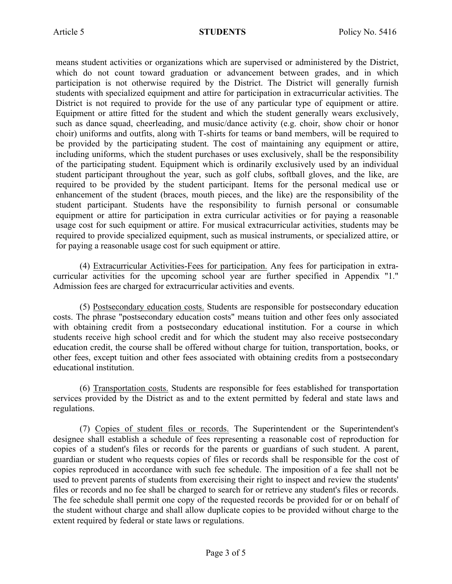means student activities or organizations which are supervised or administered by the District, which do not count toward graduation or advancement between grades, and in which participation is not otherwise required by the District. The District will generally furnish students with specialized equipment and attire for participation in extracurricular activities. The District is not required to provide for the use of any particular type of equipment or attire. Equipment or attire fitted for the student and which the student generally wears exclusively, such as dance squad, cheerleading, and music/dance activity (e.g. choir, show choir or honor choir) uniforms and outfits, along with T-shirts for teams or band members, will be required to be provided by the participating student. The cost of maintaining any equipment or attire, including uniforms, which the student purchases or uses exclusively, shall be the responsibility of the participating student. Equipment which is ordinarily exclusively used by an individual student participant throughout the year, such as golf clubs, softball gloves, and the like, are required to be provided by the student participant. Items for the personal medical use or enhancement of the student (braces, mouth pieces, and the like) are the responsibility of the student participant. Students have the responsibility to furnish personal or consumable equipment or attire for participation in extra curricular activities or for paying a reasonable usage cost for such equipment or attire. For musical extracurricular activities, students may be required to provide specialized equipment, such as musical instruments, or specialized attire, or for paying a reasonable usage cost for such equipment or attire.

(4) Extracurricular Activities-Fees for participation. Any fees for participation in extracurricular activities for the upcoming school year are further specified in Appendix "1." Admission fees are charged for extracurricular activities and events.

(5) Postsecondary education costs. Students are responsible for postsecondary education costs. The phrase "postsecondary education costs" means tuition and other fees only associated with obtaining credit from a postsecondary educational institution. For a course in which students receive high school credit and for which the student may also receive postsecondary education credit, the course shall be offered without charge for tuition, transportation, books, or other fees, except tuition and other fees associated with obtaining credits from a postsecondary educational institution.

(6) Transportation costs. Students are responsible for fees established for transportation services provided by the District as and to the extent permitted by federal and state laws and regulations.

(7) Copies of student files or records. The Superintendent or the Superintendent's designee shall establish a schedule of fees representing a reasonable cost of reproduction for copies of a student's files or records for the parents or guardians of such student. A parent, guardian or student who requests copies of files or records shall be responsible for the cost of copies reproduced in accordance with such fee schedule. The imposition of a fee shall not be used to prevent parents of students from exercising their right to inspect and review the students' files or records and no fee shall be charged to search for or retrieve any student's files or records. The fee schedule shall permit one copy of the requested records be provided for or on behalf of the student without charge and shall allow duplicate copies to be provided without charge to the extent required by federal or state laws or regulations.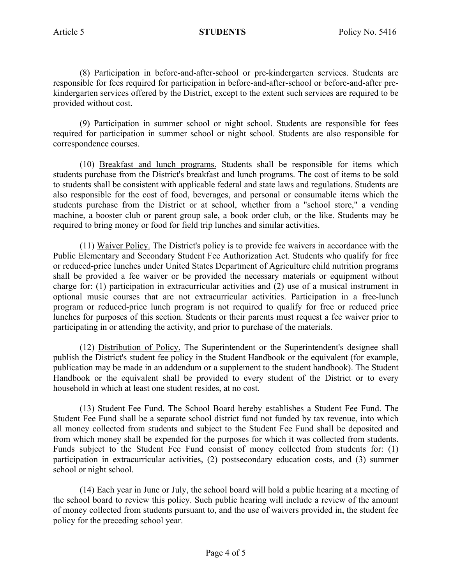(8) Participation in before-and-after-school or pre-kindergarten services. Students are responsible for fees required for participation in before-and-after-school or before-and-after prekindergarten services offered by the District, except to the extent such services are required to be provided without cost.

(9) Participation in summer school or night school. Students are responsible for fees required for participation in summer school or night school. Students are also responsible for correspondence courses.

(10) Breakfast and lunch programs. Students shall be responsible for items which students purchase from the District's breakfast and lunch programs. The cost of items to be sold to students shall be consistent with applicable federal and state laws and regulations. Students are also responsible for the cost of food, beverages, and personal or consumable items which the students purchase from the District or at school, whether from a "school store," a vending machine, a booster club or parent group sale, a book order club, or the like. Students may be required to bring money or food for field trip lunches and similar activities.

(11) Waiver Policy. The District's policy is to provide fee waivers in accordance with the Public Elementary and Secondary Student Fee Authorization Act. Students who qualify for free or reduced-price lunches under United States Department of Agriculture child nutrition programs shall be provided a fee waiver or be provided the necessary materials or equipment without charge for: (1) participation in extracurricular activities and (2) use of a musical instrument in optional music courses that are not extracurricular activities. Participation in a free-lunch program or reduced-price lunch program is not required to qualify for free or reduced price lunches for purposes of this section. Students or their parents must request a fee waiver prior to participating in or attending the activity, and prior to purchase of the materials.

(12) Distribution of Policy. The Superintendent or the Superintendent's designee shall publish the District's student fee policy in the Student Handbook or the equivalent (for example, publication may be made in an addendum or a supplement to the student handbook). The Student Handbook or the equivalent shall be provided to every student of the District or to every household in which at least one student resides, at no cost.

(13) Student Fee Fund. The School Board hereby establishes a Student Fee Fund. The Student Fee Fund shall be a separate school district fund not funded by tax revenue, into which all money collected from students and subject to the Student Fee Fund shall be deposited and from which money shall be expended for the purposes for which it was collected from students. Funds subject to the Student Fee Fund consist of money collected from students for: (1) participation in extracurricular activities, (2) postsecondary education costs, and (3) summer school or night school.

(14) Each year in June or July, the school board will hold a public hearing at a meeting of the school board to review this policy. Such public hearing will include a review of the amount of money collected from students pursuant to, and the use of waivers provided in, the student fee policy for the preceding school year.